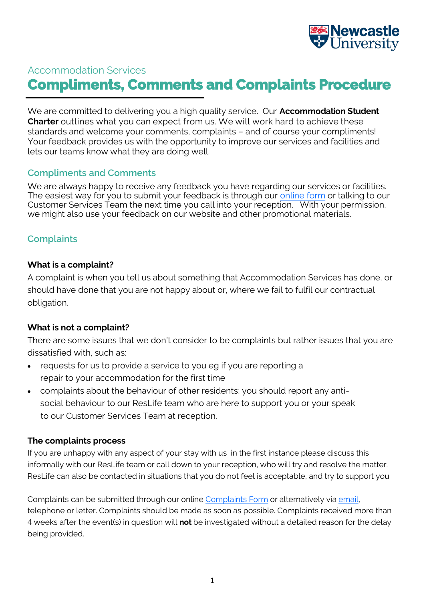

# Accommodation Services **Compliments, Comments and Complaints Procedure**

We are committed to delivering you a high quality service. Our **Accommodation Student Charter** outlines what you can expect from us. We will work hard to achieve these standards and welcome your comments, complaints – and of course your compliments! Your feedback provides us with the opportunity to improve our services and facilities and lets our teams know what they are doing well.

#### **Compliments and Comments**

We are always happy to receive any feedback you have regarding our services or facilities. The easiest way for you to submit your feedback is through our [online form](http://forms.ncl.ac.uk/form.php?id=10508) or talking to our Customer Services Team the next time you call into your reception. With your permission, we might also use your feedback on our website and other promotional materials.

## **Complaints**

#### **What is a complaint?**

A complaint is when you tell us about something that Accommodation Services has done, or should have done that you are not happy about or, where we fail to fulfil our contractual obligation.

#### **What is not a complaint?**

There are some issues that we don't consider to be complaints but rather issues that you are dissatisfied with, such as:

- requests for us to provide a service to you eg if you are reporting a repair to your accommodation for the first time
- complaints about the behaviour of other residents; you should report any antisocial behaviour to our ResLife team who are here to support you or your speak to our Customer Services Team at reception.

#### **The complaints process**

If you are unhappy with any aspect of your stay with us in the first instance please discuss this informally with our ResLife team or call down to your reception, who will try and resolve the matter. ResLife can also be contacted in situations that you do not feel is acceptable, and try to support you

Complaints can be submitted through our online [Complaints Form](https://forms.ncl.ac.uk/form.php?id=7342) or alternatively via email, telephone or letter. Complaints should be made as soon as possible. Complaints received more than 4 weeks after the event(s) in question will **not** be investigated without a detailed reason for the delay being provided.